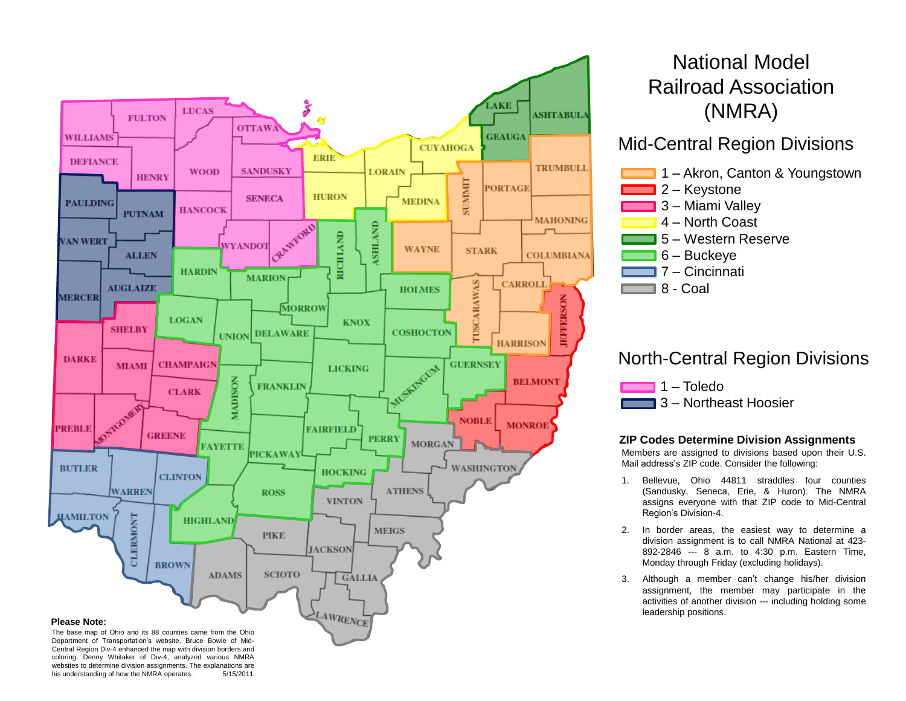

## National Model Railroad Association (NMRA)

### Mid -Central Region Divisions



## North -Central Region Divisions

| $\blacksquare$ 1 – Toledo      |
|--------------------------------|
| <b>1</b> 3 - Northeast Hoosier |

Е

Ē

#### **ZIP Codes Determine Division Assignments**

Members are assigned to divisions based upon their U . S . Mail address's ZIP code . Consider the following :

- 1. Bellevue, Ohio 44811 straddles four counties (Sandusky, Seneca, Erie, & Huron) . The NMRA assigns everyone with that ZIP code to Mid -Central Region's Division - 4 .
- 2. In border areas, the easiest way to determine a division assignment is to call NMRA National at 423 - 892-2846 --- 8 a.m. to 4:30 p.m. Eastern Time, Monday through Friday (excluding holidays) .
- 3. Although a member can't change his/her division assignment, the member may participate in the activities of another division --- including holding some leadership positions .